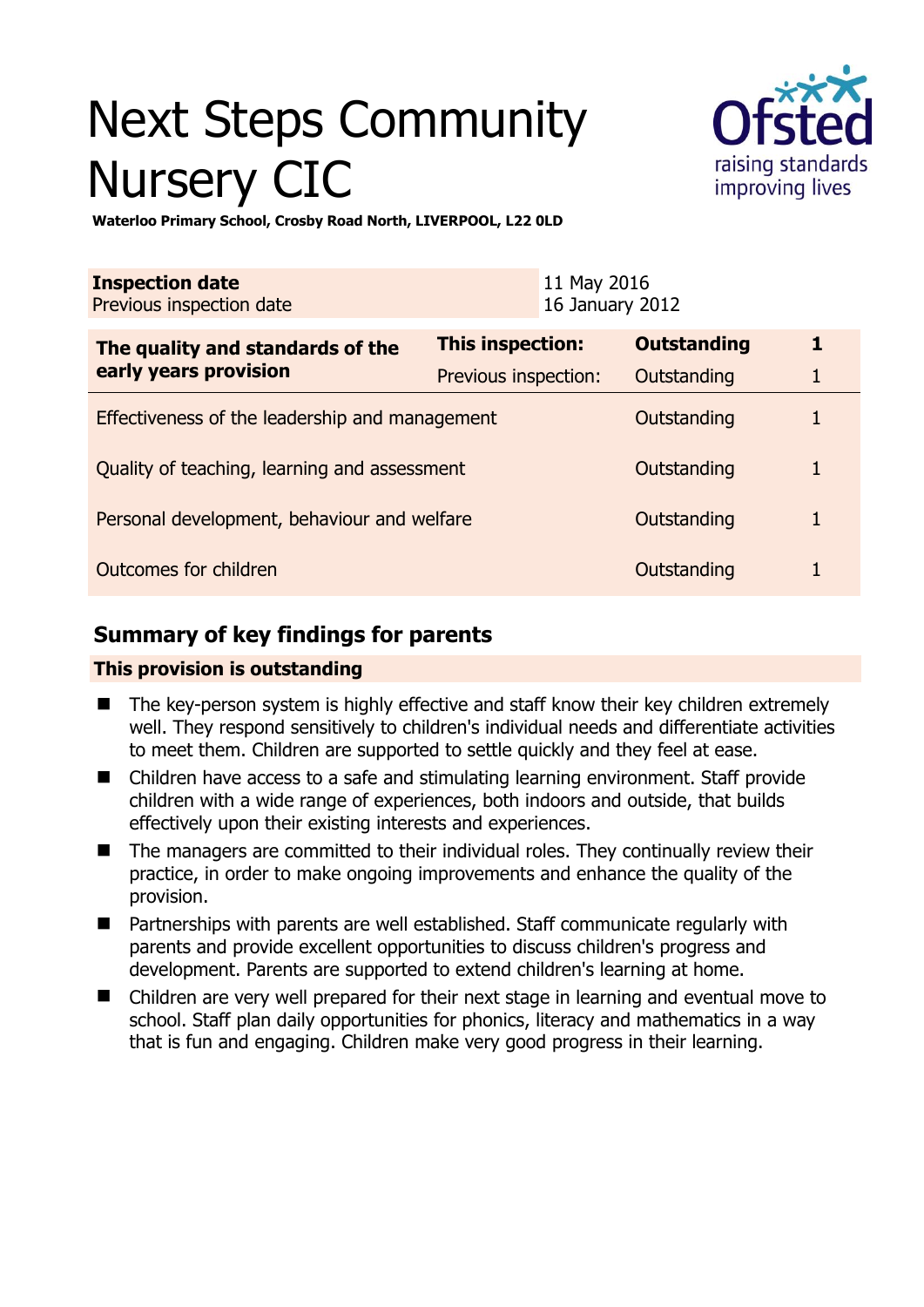# Next Steps Community Nursery CIC



**Waterloo Primary School, Crosby Road North, LIVERPOOL, L22 0LD** 

| <b>Inspection date</b><br>Previous inspection date        |                      | 11 May 2016<br>16 January 2012 |                    |   |
|-----------------------------------------------------------|----------------------|--------------------------------|--------------------|---|
| The quality and standards of the<br>early years provision | This inspection:     |                                | <b>Outstanding</b> | 1 |
|                                                           | Previous inspection: |                                | Outstanding        |   |
| Effectiveness of the leadership and management            |                      |                                | Outstanding        |   |
| Quality of teaching, learning and assessment              |                      |                                | Outstanding        | 1 |
| Personal development, behaviour and welfare               |                      |                                | Outstanding        |   |
| Outcomes for children                                     |                      |                                | Outstanding        |   |

# **Summary of key findings for parents**

## **This provision is outstanding**

- The key-person system is highly effective and staff know their key children extremely well. They respond sensitively to children's individual needs and differentiate activities to meet them. Children are supported to settle quickly and they feel at ease.
- Children have access to a safe and stimulating learning environment. Staff provide children with a wide range of experiences, both indoors and outside, that builds effectively upon their existing interests and experiences.
- The managers are committed to their individual roles. They continually review their practice, in order to make ongoing improvements and enhance the quality of the provision.
- Partnerships with parents are well established. Staff communicate regularly with parents and provide excellent opportunities to discuss children's progress and development. Parents are supported to extend children's learning at home.
- Children are very well prepared for their next stage in learning and eventual move to school. Staff plan daily opportunities for phonics, literacy and mathematics in a way that is fun and engaging. Children make very good progress in their learning.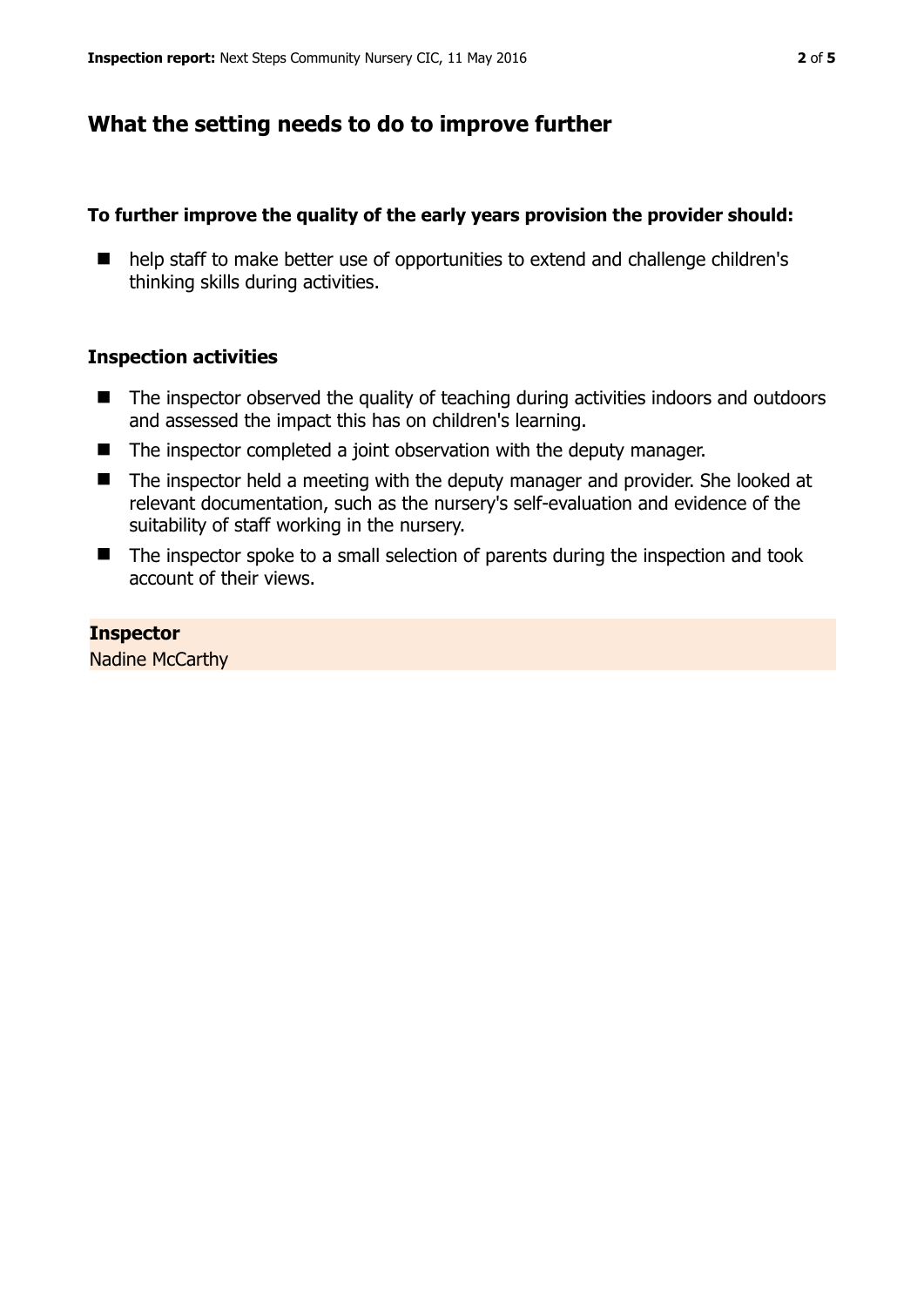## **What the setting needs to do to improve further**

## **To further improve the quality of the early years provision the provider should:**

■ help staff to make better use of opportunities to extend and challenge children's thinking skills during activities.

## **Inspection activities**

- The inspector observed the quality of teaching during activities indoors and outdoors and assessed the impact this has on children's learning.
- The inspector completed a joint observation with the deputy manager.
- The inspector held a meeting with the deputy manager and provider. She looked at relevant documentation, such as the nursery's self-evaluation and evidence of the suitability of staff working in the nursery.
- The inspector spoke to a small selection of parents during the inspection and took account of their views.

**Inspector**  Nadine McCarthy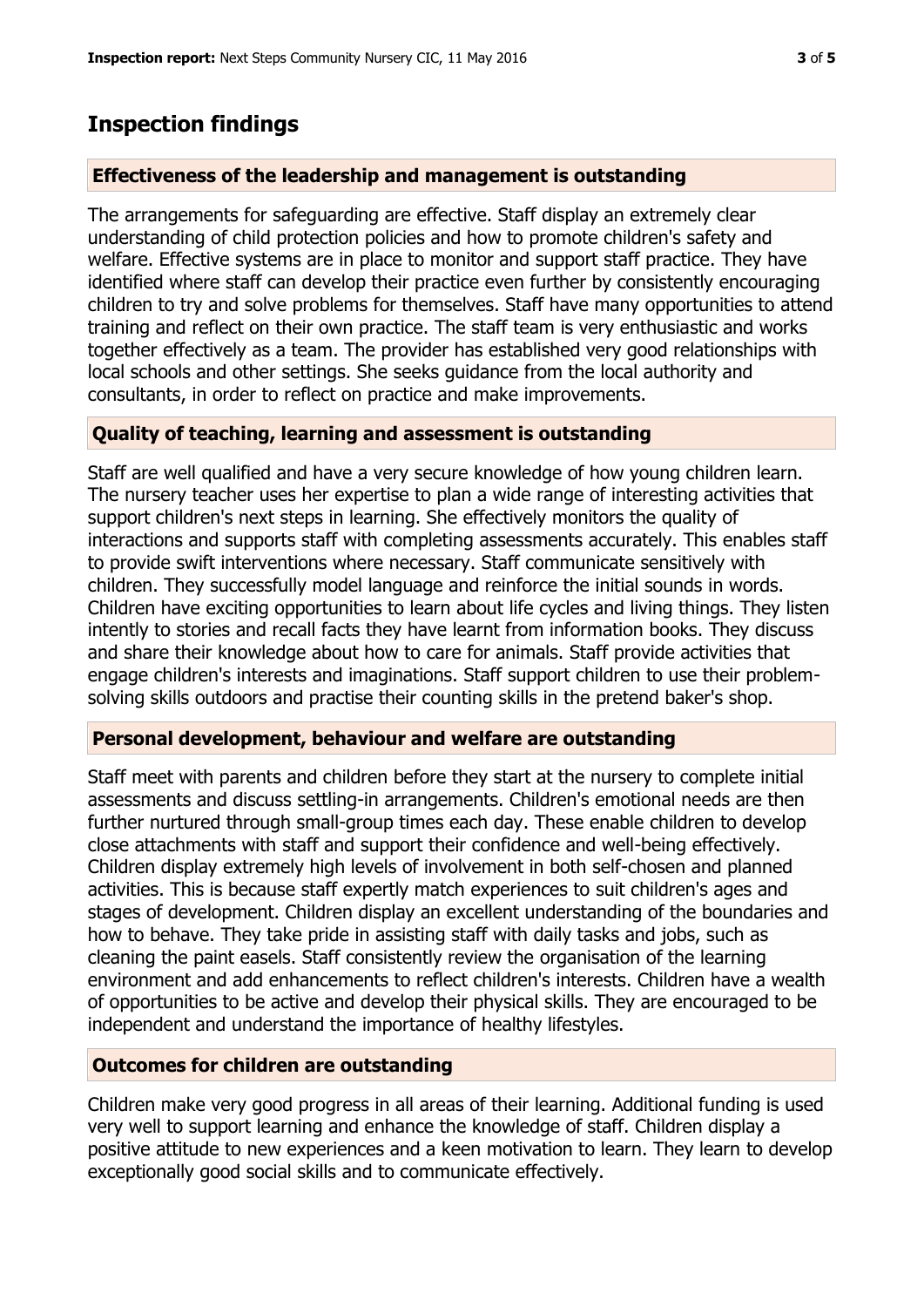## **Inspection findings**

## **Effectiveness of the leadership and management is outstanding**

The arrangements for safeguarding are effective. Staff display an extremely clear understanding of child protection policies and how to promote children's safety and welfare. Effective systems are in place to monitor and support staff practice. They have identified where staff can develop their practice even further by consistently encouraging children to try and solve problems for themselves. Staff have many opportunities to attend training and reflect on their own practice. The staff team is very enthusiastic and works together effectively as a team. The provider has established very good relationships with local schools and other settings. She seeks guidance from the local authority and consultants, in order to reflect on practice and make improvements.

## **Quality of teaching, learning and assessment is outstanding**

Staff are well qualified and have a very secure knowledge of how young children learn. The nursery teacher uses her expertise to plan a wide range of interesting activities that support children's next steps in learning. She effectively monitors the quality of interactions and supports staff with completing assessments accurately. This enables staff to provide swift interventions where necessary. Staff communicate sensitively with children. They successfully model language and reinforce the initial sounds in words. Children have exciting opportunities to learn about life cycles and living things. They listen intently to stories and recall facts they have learnt from information books. They discuss and share their knowledge about how to care for animals. Staff provide activities that engage children's interests and imaginations. Staff support children to use their problemsolving skills outdoors and practise their counting skills in the pretend baker's shop.

#### **Personal development, behaviour and welfare are outstanding**

Staff meet with parents and children before they start at the nursery to complete initial assessments and discuss settling-in arrangements. Children's emotional needs are then further nurtured through small-group times each day. These enable children to develop close attachments with staff and support their confidence and well-being effectively. Children display extremely high levels of involvement in both self-chosen and planned activities. This is because staff expertly match experiences to suit children's ages and stages of development. Children display an excellent understanding of the boundaries and how to behave. They take pride in assisting staff with daily tasks and jobs, such as cleaning the paint easels. Staff consistently review the organisation of the learning environment and add enhancements to reflect children's interests. Children have a wealth of opportunities to be active and develop their physical skills. They are encouraged to be independent and understand the importance of healthy lifestyles.

## **Outcomes for children are outstanding**

Children make very good progress in all areas of their learning. Additional funding is used very well to support learning and enhance the knowledge of staff. Children display a positive attitude to new experiences and a keen motivation to learn. They learn to develop exceptionally good social skills and to communicate effectively.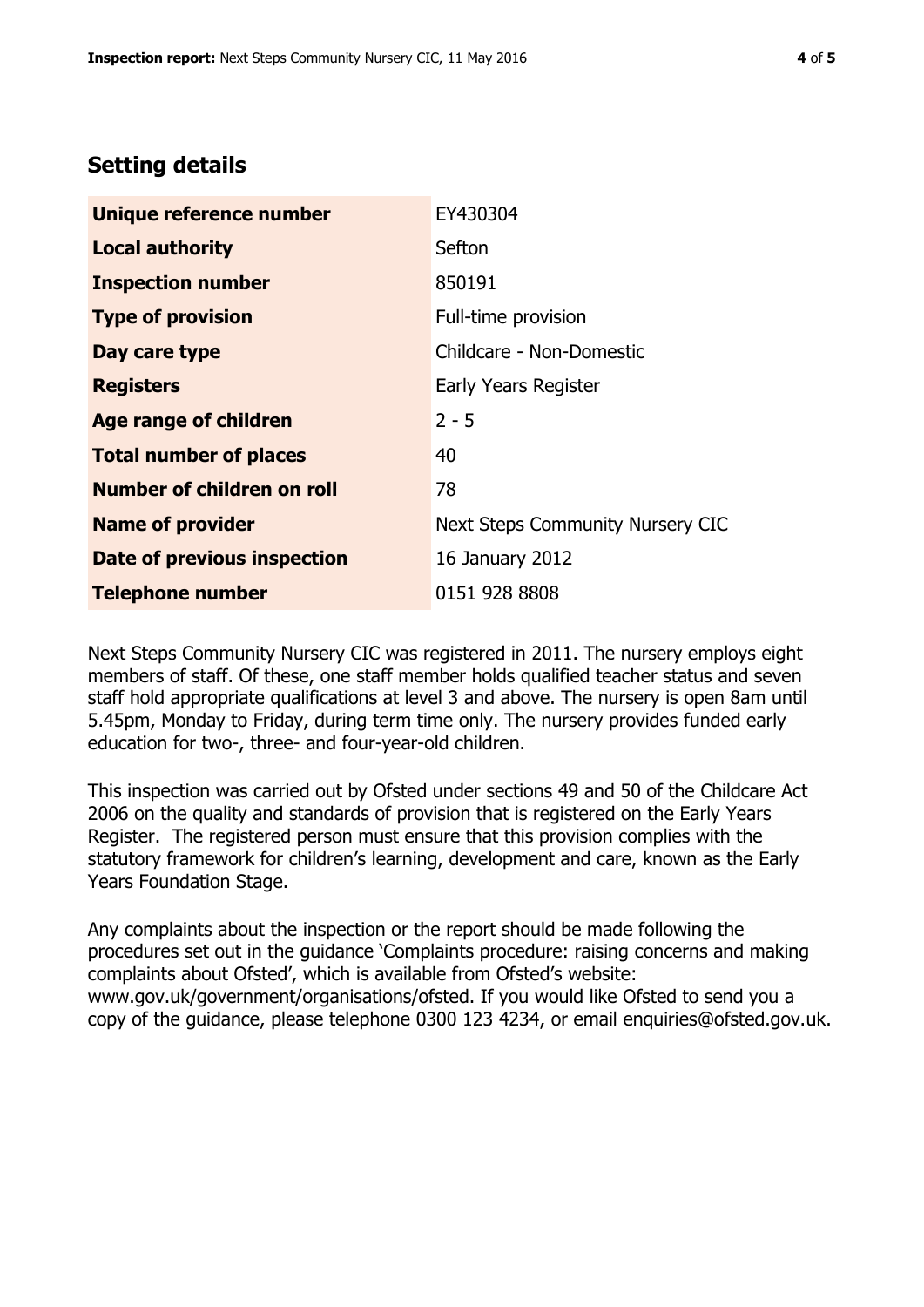## **Setting details**

| Unique reference number       | EY430304                         |  |
|-------------------------------|----------------------------------|--|
| <b>Local authority</b>        | Sefton                           |  |
| <b>Inspection number</b>      | 850191                           |  |
| <b>Type of provision</b>      | Full-time provision              |  |
| Day care type                 | Childcare - Non-Domestic         |  |
| <b>Registers</b>              | Early Years Register             |  |
| <b>Age range of children</b>  | $2 - 5$                          |  |
| <b>Total number of places</b> | 40                               |  |
| Number of children on roll    | 78                               |  |
| <b>Name of provider</b>       | Next Steps Community Nursery CIC |  |
| Date of previous inspection   | 16 January 2012                  |  |
| <b>Telephone number</b>       | 0151 928 8808                    |  |

Next Steps Community Nursery CIC was registered in 2011. The nursery employs eight members of staff. Of these, one staff member holds qualified teacher status and seven staff hold appropriate qualifications at level 3 and above. The nursery is open 8am until 5.45pm, Monday to Friday, during term time only. The nursery provides funded early education for two-, three- and four-year-old children.

This inspection was carried out by Ofsted under sections 49 and 50 of the Childcare Act 2006 on the quality and standards of provision that is registered on the Early Years Register. The registered person must ensure that this provision complies with the statutory framework for children's learning, development and care, known as the Early Years Foundation Stage.

Any complaints about the inspection or the report should be made following the procedures set out in the guidance 'Complaints procedure: raising concerns and making complaints about Ofsted', which is available from Ofsted's website: www.gov.uk/government/organisations/ofsted. If you would like Ofsted to send you a copy of the guidance, please telephone 0300 123 4234, or email enquiries@ofsted.gov.uk.